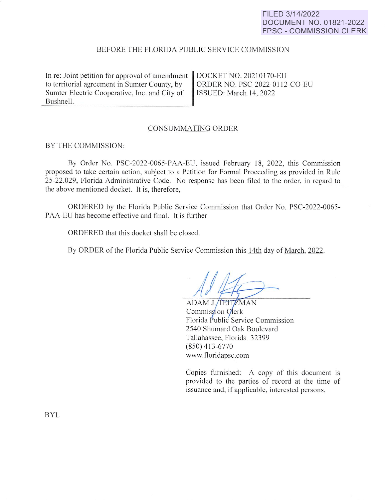### **FILED 3/14/2022 DOCUMENT NO. 01821-2022 FPSC - COMMISSION CLERK**

# BEFORE THE FLORIDA PUBLIC SERVICE COMMISSION

In re: Joint petition for approval of amendment to territorial agreement in Sumter County, by Sumter Electric Cooperative, Inc. and City of Bushnell.

DOCKET NO. 202 10170-EU ORDER NO. PSC-2022-0112-CO-EU ISSUED: March **14,** 2022

### CONSUMMATING ORDER

#### BY THE COMMISSION:

By Order No. PSC-2022-0065-PAA-EU, issued February 18, 2022, this Commission proposed to take certain action, subject to a Petition for Formal Proceeding as provided in Rule 25-22.029, Florida Administrative Code. No response has been filed to the order, in regard to the above mentioned docket. It is, therefore,

ORDERED by the Florida Public Service Commission that Order No. PSC-2022-0065- PAA-EU has become effective and final. It is further

ORDERED that this docket shall be closed.

By ORDER of the Florida Public Service Commission this 14th day of March, 2022.

ADAM J./TEITZMAN Commission Clerk Florida Public Service Commission 2540 Shumard Oak Boulevard Tallahassee, Florida 32399 (850) 413-6770 www.floridapsc.com

Copies furnished: A copy of this document is provided to the parties of record at the time of issuance and, if applicable, interested persons.

BYL